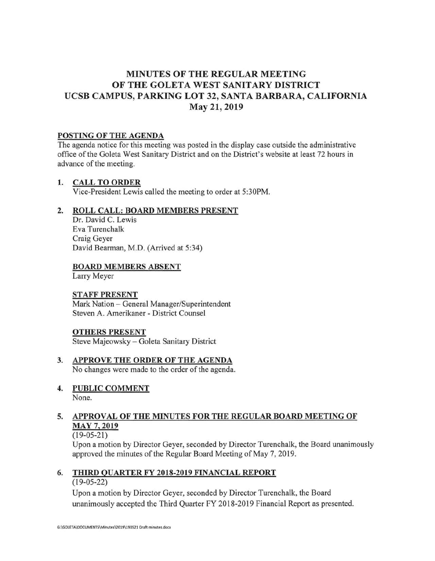## **MINUTES OF THE REGULAR MEETING OF THE GOLETA WEST SANITARY DISTRICT UCSB CAMPUS, PARKING LOT 32, SANTA BARBARA, CALIFORNIA May 21, 2019**

#### **POSTING OF THE AGENDA**

The agenda notice for this meeting was posted in the display case outside the administrative office of the Goleta West Sanitary District and on the District's website at least 72 hours in advance of the meeting.

#### **1. CALL TO ORDER**

Vice-President Lewis called the meeting to order at 5:30PM.

#### **2. ROLL CALL: BOARD MEMBERS PRESENT**

Dr. David C. Lewis Eva Turenchalk Craig Geyer David Bearman, M.D. (Arrived at 5:34)

#### **BOARD MEMBERS ABSENT**

Larry Meyer

#### **STAFF PRESENT**

Mark Nation - General Manager/Superintendent Steven A. Amerikaner - District Counsel

#### **OTHERS PRESENT**

Steve Majeowsky - Goleta Sanitary District

**3. APPROVE THE ORDER OF THE AGENDA**  No changes were made to the order of the agenda .

# **4. PUBLIC COMMENT**

None.

## **5. APPROVAL OF THE MINUTES FOR THE REGULAR BOARD MEETING OF MAY 7, 2019**

#### (19-05-21)

Upon a motion by Director Geyer, seconded by Director Turenchalk, the Board unanimously approved the minutes of the Regular Board Meeting of May 7, 2019.

## **6. THIRD QUARTER FY 2018-2019 FINANCIAL REPORT**

### (19-05-22)

Upon a motion by Director Geyer, seconded by Director Turenchalk, the Board unanimously accepted the Third Quarter FY 2018-2019 Financial Report as presented.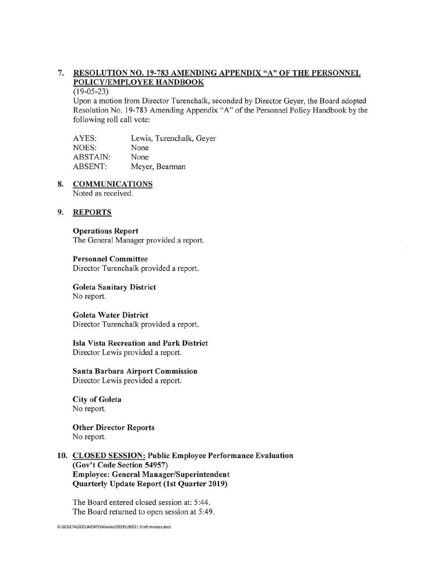## 7. **RESOLUTION NO.19-783 AMENDING APPENDIX "A" OF THE PERSONNEL POLICY /EMPLOYEE HANDBOOK**

 $(19-05-23)$ 

Upon a motion from Director Turenchalk, seconded by Director Geyer, the Board adopted Resolution No. 19-783 Amending Appendix "A" of the Personnel Policy Handbook by the following roll call vote:

AYES: NOES: ABSTAIN: ABSENT: Lewis, Turenchalk, Geyer None None Meyer, Bearman

## **8. COMMUNICATIONS**

Noted as received.

#### **9. REPORTS**

# **Operations Report**

The General Manager provided a report.

#### **Personnel Committee**

Director Turenchalk provided a report.

#### **Goleta Sanitary District**  No report.

#### **Goleta Water District**

Director Turenchalk provided a report.

#### **Isla Vista Recreation and Park District**  Director Lewis provided a report.

**Santa Barbara Airport Commission**  Director Lewis provided a report.

**City of Goleta**  No report.

**Other Director Reports**  No report.

#### **10. CLOSED SESSION: Public Employee Performance Evaluation (Gov't Code Section 54957) Employee: General Manager/Superintendent Quarterly Update Report (1st Quarter 2019)**

The Board entered closed session at: 5:44. The Board returned to open session at 5:49.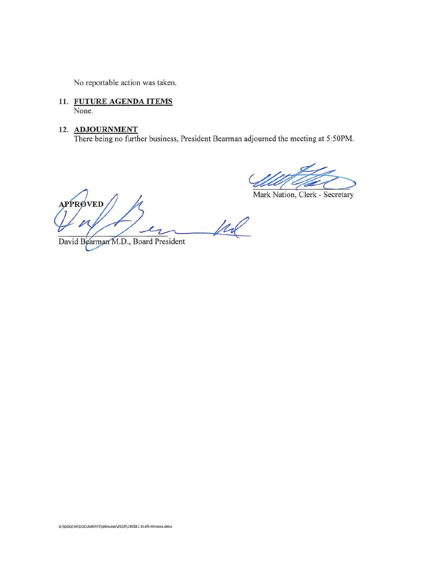No reportable action was taken.

- **11. FUTURE AGENDA ITEMS**  None.
- **12. ADJOURNMENT**

There being no further business, President Bearman adjourned the meeting at 5:50PM.

djourned the meeting at 5:50PM.

**APPRØVED** 12

David Bearman M.D., Board President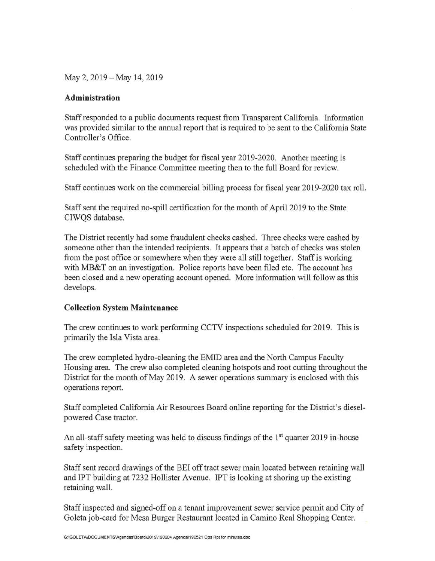May 2, 2019-May 14, 2019

#### **Administration**

Staff responded to a public documents request from Transparent California. Information was provided similar to the annual report that is required to be sent to the California State Controller's Office.

Staff continues preparing the budget for fiscal year 2019-2020. Another meeting is scheduled with the Finance Committee meeting then to the full Board for review.

Staff continues work on the commercial billing process for fiscal year 2019-2020 tax roll.

Staff sent the required no-spill certification for the month of April 2019 to the State CIWQS database.

The District recently had some fraudulent checks cashed . Three checks were cashed by someone other than the intended recipients. It appears that a batch of checks was stolen from the post office or somewhere when they were all still together. Staff is working with MB&T on an investigation. Police reports have been filed etc. The account has been closed and a new operating account opened. More information will follow as this develops.

#### **Collection System Maintenance**

The crew continues to work performing CCTV inspections scheduled for 2019. This is primarily the Isla Vista area.

The crew completed hydro-cleaning the EMID area and the North Campus Faculty Housing area. The crew also completed cleaning hotspots and root cutting throughout the District for the month of May 2019. A sewer operations summary is enclosed with this operations report.

Staff completed California Air Resources Board online reporting for the District's dieselpowered Case tractor.

An all-staff safety meeting was held to discuss findings of the 1<sup>st</sup> quarter 2019 in-house safety inspection.

Staff sent record drawings of the BEi off tract sewer main located between retaining wall and IPT building at 7232 Hollister Avenue. IPT is looking at shoring up the existing retaining wall.

Staff inspected and signed-off on a tenant improvement sewer service permit and City of Goleta job-card for Mesa Burger Restaurant located in Camino Real Shopping Center.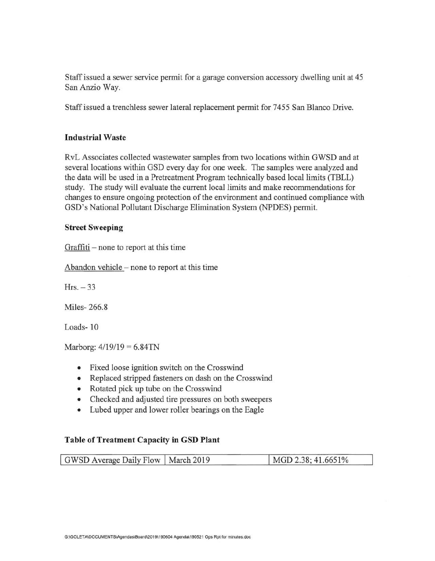Staff issued a sewer service permit for a garage conversion accessory dwelling unit at 45 San Anzio Way.

Staff issued a trenchless sewer lateral replacement permit for 7455 San Blanco Drive.

## **Industrial Waste**

RvL Associates collected wastewater samples from two locations within GWSD and at several locations within GSD every day for one week. The samples were analyzed and the data will be used in a Pretreatment Program technically based local limits (TBLL) study. The study will evaluate the current local limits and make recommendations for changes to ensure ongoing protection of the environment and continued compliance with GSD's National Pollutant Discharge Elimination System (NPDES) permit.

## **Street Sweeping**

Graffiti  $-$  none to report at this time

Abandon vehicle – none to report at this time

 $Hrs. -33$ 

Miles- 266.8

Loads- 10

Marborg:  $4/19/19 = 6.84$ TN

- Fixed loose ignition switch on the Crosswind
- Replaced stripped fasteners on dash on the Crosswind
- Rotated pick up tube on the Crosswind
- Checked and adjusted tire pressures on both sweepers
- Lubed upper and lower roller bearings on the Eagle

## **Table of Treatment Capacity in GSD Plant**

| GWSD Average Daily Flow   March 2019 | MGD 2.38; 41.6651% |
|--------------------------------------|--------------------|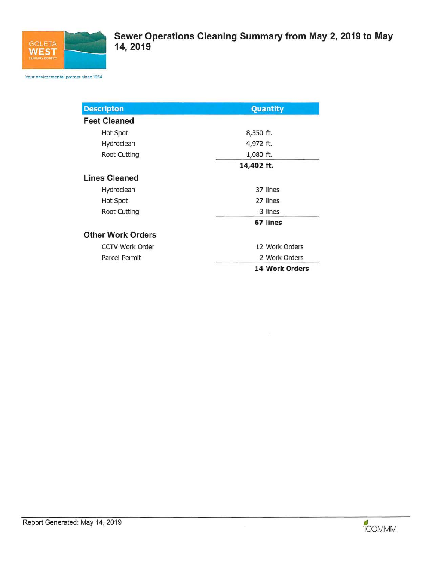

Your environmental partner since 1954

| <b>Descripton</b>        | <b>Quantity</b>       |  |  |
|--------------------------|-----------------------|--|--|
| <b>Feet Cleaned</b>      |                       |  |  |
| Hot Spot                 | 8,350 ft.             |  |  |
| Hydroclean               | 4,972 ft.             |  |  |
| Root Cutting             | 1,080 ft.             |  |  |
|                          | 14,402 ft.            |  |  |
| <b>Lines Cleaned</b>     |                       |  |  |
| Hydroclean               | 37 lines              |  |  |
| Hot Spot                 | 27 lines              |  |  |
| Root Cutting             | 3 lines               |  |  |
|                          | 67 lines              |  |  |
| <b>Other Work Orders</b> |                       |  |  |
| <b>CCTV Work Order</b>   | 12 Work Orders        |  |  |
| Parcel Permit            | 2 Work Orders         |  |  |
|                          | <b>14 Work Orders</b> |  |  |